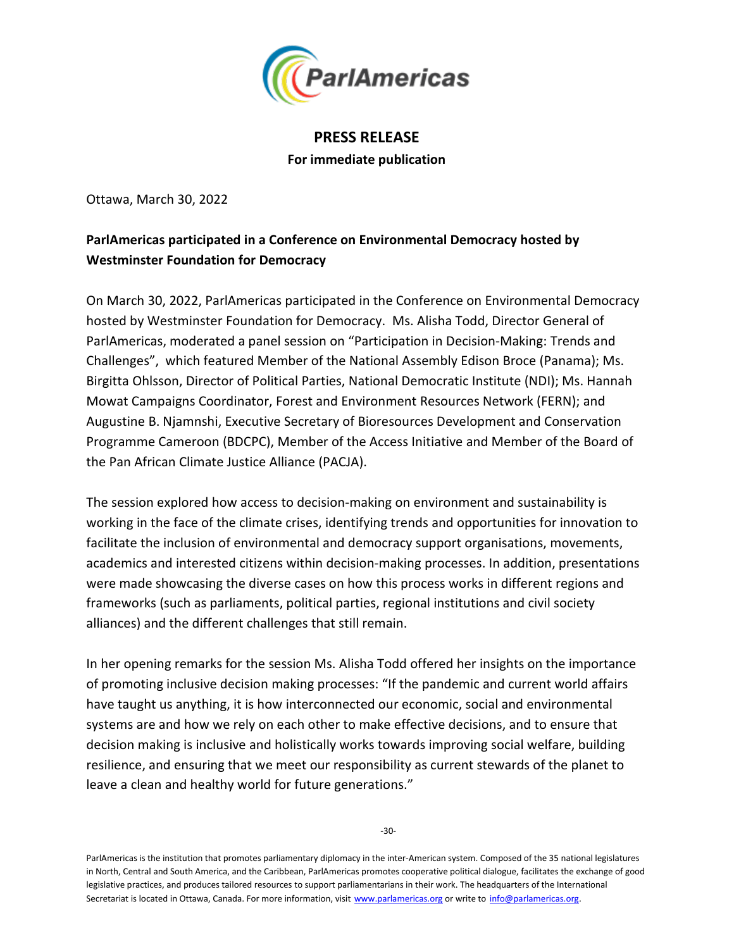

## **PRESS RELEASE For immediate publication**

Ottawa, March 30, 2022

## **ParlAmericas participated in a Conference on Environmental Democracy hosted by Westminster Foundation for Democracy**

On March 30, 2022, ParlAmericas participated in the Conference on Environmental Democracy hosted by Westminster Foundation for Democracy. Ms. Alisha Todd, Director General of ParlAmericas, moderated a panel session on "Participation in Decision-Making: Trends and Challenges", which featured Member of the National Assembly Edison Broce (Panama); Ms. Birgitta Ohlsson, Director of Political Parties, National Democratic Institute (NDI); Ms. Hannah Mowat Campaigns Coordinator, Forest and Environment Resources Network (FERN); and Augustine B. Njamnshi, Executive Secretary of Bioresources Development and Conservation Programme Cameroon (BDCPC), Member of the Access Initiative and Member of the Board of the Pan African Climate Justice Alliance (PACJA).

The session explored how access to decision-making on environment and sustainability is working in the face of the climate crises, identifying trends and opportunities for innovation to facilitate the inclusion of environmental and democracy support organisations, movements, academics and interested citizens within decision-making processes. In addition, presentations were made showcasing the diverse cases on how this process works in different regions and frameworks (such as parliaments, political parties, regional institutions and civil society alliances) and the different challenges that still remain.

In her opening remarks for the session Ms. Alisha Todd offered her insights on the importance of promoting inclusive decision making processes: "If the pandemic and current world affairs have taught us anything, it is how interconnected our economic, social and environmental systems are and how we rely on each other to make effective decisions, and to ensure that decision making is inclusive and holistically works towards improving social welfare, building resilience, and ensuring that we meet our responsibility as current stewards of the planet to leave a clean and healthy world for future generations."

ParlAmericas is the institution that promotes parliamentary diplomacy in the inter-American system. Composed of the 35 national legislatures in North, Central and South America, and the Caribbean, ParlAmericas promotes cooperative political dialogue, facilitates the exchange of good legislative practices, and produces tailored resources to support parliamentarians in their work. The headquarters of the International Secretariat is located in Ottawa, Canada. For more information, visit www.parlamericas.org or write to info@parlamericas.org.